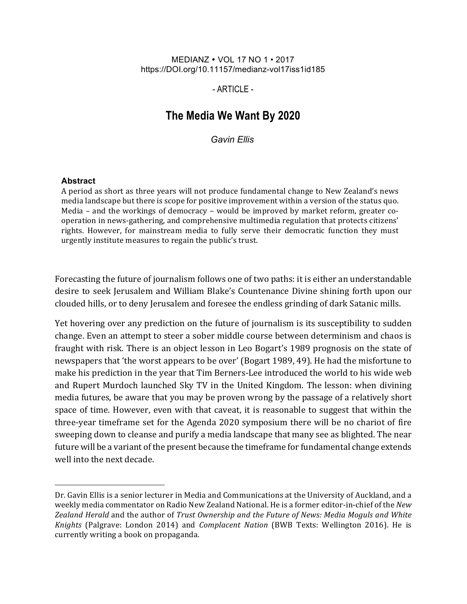#### MEDIANZ • VOL 17 NO 1 • 2017 https://DOI.org/10.11157/medianz-vol17iss1id185

## $-$  ARTICLE $-$

# **The Media We Want By 2020**

*Gavin Ellis*

#### **Abstract**

A period as short as three years will not produce fundamental change to New Zealand's news media landscape but there is scope for positive improvement within a version of the status quo. Media – and the workings of democracy – would be improved by market reform, greater cooperation in news-gathering, and comprehensive multimedia regulation that protects citizens' rights. However, for mainstream media to fully serve their democratic function they must urgently institute measures to regain the public's trust.

Forecasting the future of journalism follows one of two paths: it is either an understandable desire to seek Jerusalem and William Blake's Countenance Divine shining forth upon our clouded hills, or to deny Jerusalem and foresee the endless grinding of dark Satanic mills.

Yet hovering over any prediction on the future of journalism is its susceptibility to sudden change. Even an attempt to steer a sober middle course between determinism and chaos is fraught with risk. There is an object lesson in Leo Bogart's 1989 prognosis on the state of newspapers that 'the worst appears to be over' (Bogart 1989, 49). He had the misfortune to make his prediction in the year that Tim Berners-Lee introduced the world to his wide web and Rupert Murdoch launched Sky TV in the United Kingdom. The lesson: when divining media futures, be aware that you may be proven wrong by the passage of a relatively short space of time. However, even with that caveat, it is reasonable to suggest that within the three-year timeframe set for the Agenda 2020 symposium there will be no chariot of fire sweeping down to cleanse and purify a media landscape that many see as blighted. The near future will be a variant of the present because the timeframe for fundamental change extends well into the next decade.

Dr. Gavin Ellis is a senior lecturer in Media and Communications at the University of Auckland, and a weekly media commentator on Radio New Zealand National. He is a former editor-in-chief of the *New* Zealand Herald and the author of *Trust Ownership* and the Future of News: Media Moguls and White *Knights* (Palgrave: London 2014) and *Complacent Nation* (BWB Texts: Wellington 2016). He is currently writing a book on propaganda.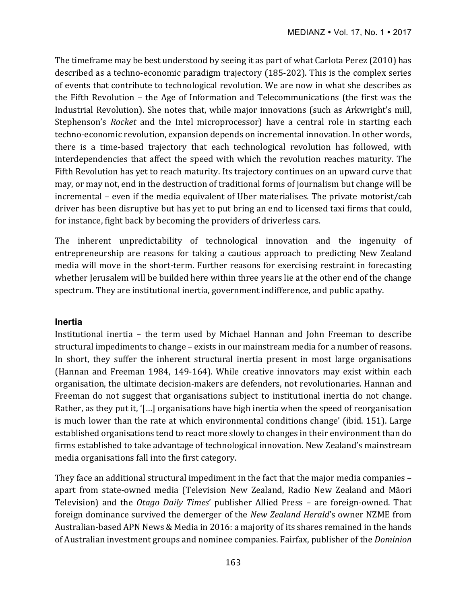The timeframe may be best understood by seeing it as part of what Carlota Perez (2010) has described as a techno-economic paradigm trajectory (185-202). This is the complex series of events that contribute to technological revolution. We are now in what she describes as the Fifth Revolution  $-$  the Age of Information and Telecommunications (the first was the Industrial Revolution). She notes that, while major innovations (such as Arkwright's mill, Stephenson's *Rocket* and the Intel microprocessor) have a central role in starting each techno-economic revolution, expansion depends on incremental innovation. In other words, there is a time-based trajectory that each technological revolution has followed, with interdependencies that affect the speed with which the revolution reaches maturity. The Fifth Revolution has yet to reach maturity. Its trajectory continues on an upward curve that may, or may not, end in the destruction of traditional forms of journalism but change will be incremental  $-$  even if the media equivalent of Uber materialises. The private motorist/cab driver has been disruptive but has yet to put bring an end to licensed taxi firms that could, for instance, fight back by becoming the providers of driverless cars.

The inherent unpredictability of technological innovation and the ingenuity of entrepreneurship are reasons for taking a cautious approach to predicting New Zealand media will move in the short-term. Further reasons for exercising restraint in forecasting whether Jerusalem will be builded here within three years lie at the other end of the change spectrum. They are institutional inertia, government indifference, and public apathy.

### **Inertia**

Institutional inertia - the term used by Michael Hannan and John Freeman to describe structural impediments to change – exists in our mainstream media for a number of reasons. In short, they suffer the inherent structural inertia present in most large organisations (Hannan and Freeman 1984, 149-164). While creative innovators may exist within each organisation, the ultimate decision-makers are defenders, not revolutionaries. Hannan and Freeman do not suggest that organisations subject to institutional inertia do not change. Rather, as they put it, '[...] organisations have high inertia when the speed of reorganisation is much lower than the rate at which environmental conditions change' (ibid. 151). Large established organisations tend to react more slowly to changes in their environment than do firms established to take advantage of technological innovation. New Zealand's mainstream media organisations fall into the first category.

They face an additional structural impediment in the fact that the major media companies apart from state-owned media (Television New Zealand, Radio New Zealand and Māori Television) and the *Otago Daily Times'* publisher Allied Press - are foreign-owned. That foreign dominance survived the demerger of the *New Zealand Herald's* owner NZME from Australian-based APN News & Media in 2016: a majority of its shares remained in the hands of Australian investment groups and nominee companies. Fairfax, publisher of the *Dominion*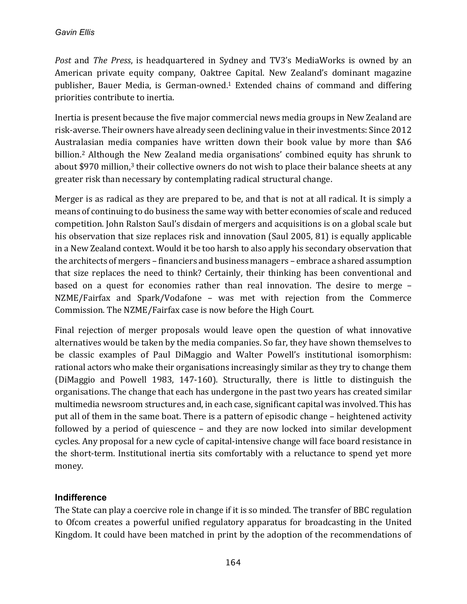*Post* and *The Press*, is headquartered in Sydney and TV3's MediaWorks is owned by an American private equity company, Oaktree Capital. New Zealand's dominant magazine publisher, Bauer Media, is German-owned.<sup>1</sup> Extended chains of command and differing priorities contribute to inertia.

Inertia is present because the five major commercial news media groups in New Zealand are risk-averse. Their owners have already seen declining value in their investments: Since 2012 Australasian media companies have written down their book value by more than \$A6 billion.<sup>2</sup> Although the New Zealand media organisations' combined equity has shrunk to about \$970 million,<sup>3</sup> their collective owners do not wish to place their balance sheets at any greater risk than necessary by contemplating radical structural change.

Merger is as radical as they are prepared to be, and that is not at all radical. It is simply a means of continuing to do business the same way with better economies of scale and reduced competition. John Ralston Saul's disdain of mergers and acquisitions is on a global scale but his observation that size replaces risk and innovation (Saul 2005, 81) is equally applicable in a New Zealand context. Would it be too harsh to also apply his secondary observation that the architects of mergers – financiers and business managers – embrace a shared assumption that size replaces the need to think? Certainly, their thinking has been conventional and based on a quest for economies rather than real innovation. The desire to merge -NZME/Fairfax and Spark/Vodafone - was met with rejection from the Commerce Commission. The NZME/Fairfax case is now before the High Court.

Final rejection of merger proposals would leave open the question of what innovative alternatives would be taken by the media companies. So far, they have shown themselves to be classic examples of Paul DiMaggio and Walter Powell's institutional isomorphism: rational actors who make their organisations increasingly similar as they try to change them (DiMaggio and Powell 1983, 147-160). Structurally, there is little to distinguish the organisations. The change that each has undergone in the past two years has created similar multimedia newsroom structures and, in each case, significant capital was involved. This has put all of them in the same boat. There is a pattern of episodic change – heightened activity followed by a period of quiescence  $-$  and they are now locked into similar development cycles. Any proposal for a new cycle of capital-intensive change will face board resistance in the short-term. Institutional inertia sits comfortably with a reluctance to spend yet more money.

# **Indifference**

The State can play a coercive role in change if it is so minded. The transfer of BBC regulation to Ofcom creates a powerful unified regulatory apparatus for broadcasting in the United Kingdom. It could have been matched in print by the adoption of the recommendations of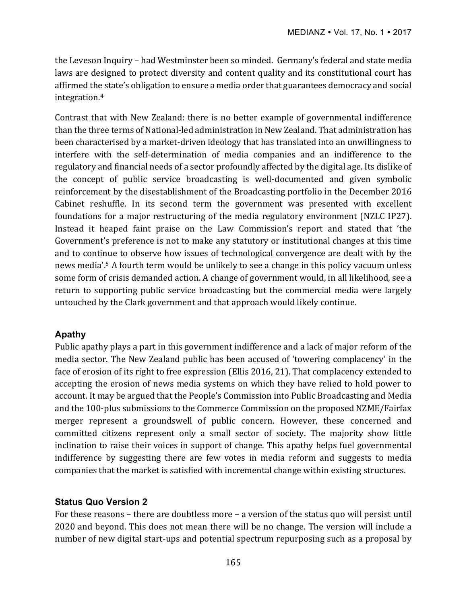the Leveson Inquiry – had Westminster been so minded. Germany's federal and state media laws are designed to protect diversity and content quality and its constitutional court has affirmed the state's obligation to ensure a media order that guarantees democracy and social integration.4

Contrast that with New Zealand: there is no better example of governmental indifference than the three terms of National-led administration in New Zealand. That administration has been characterised by a market-driven ideology that has translated into an unwillingness to interfere with the self-determination of media companies and an indifference to the regulatory and financial needs of a sector profoundly affected by the digital age. Its dislike of the concept of public service broadcasting is well-documented and given symbolic reinforcement by the disestablishment of the Broadcasting portfolio in the December 2016 Cabinet reshuffle. In its second term the government was presented with excellent foundations for a major restructuring of the media regulatory environment (NZLC IP27). Instead it heaped faint praise on the Law Commission's report and stated that 'the Government's preference is not to make any statutory or institutional changes at this time and to continue to observe how issues of technological convergence are dealt with by the news media'.<sup>5</sup> A fourth term would be unlikely to see a change in this policy vacuum unless some form of crisis demanded action. A change of government would, in all likelihood, see a return to supporting public service broadcasting but the commercial media were largely untouched by the Clark government and that approach would likely continue.

# **Apathy**

Public apathy plays a part in this government indifference and a lack of major reform of the media sector. The New Zealand public has been accused of 'towering complacency' in the face of erosion of its right to free expression (Ellis 2016, 21). That complacency extended to accepting the erosion of news media systems on which they have relied to hold power to account. It may be argued that the People's Commission into Public Broadcasting and Media and the 100-plus submissions to the Commerce Commission on the proposed NZME/Fairfax merger represent a groundswell of public concern. However, these concerned and committed citizens represent only a small sector of society. The majority show little inclination to raise their voices in support of change. This apathy helps fuel governmental indifference by suggesting there are few votes in media reform and suggests to media companies that the market is satisfied with incremental change within existing structures.

# **Status Quo Version 2**

For these reasons – there are doubtless more – a version of the status quo will persist until 2020 and beyond. This does not mean there will be no change. The version will include a number of new digital start-ups and potential spectrum repurposing such as a proposal by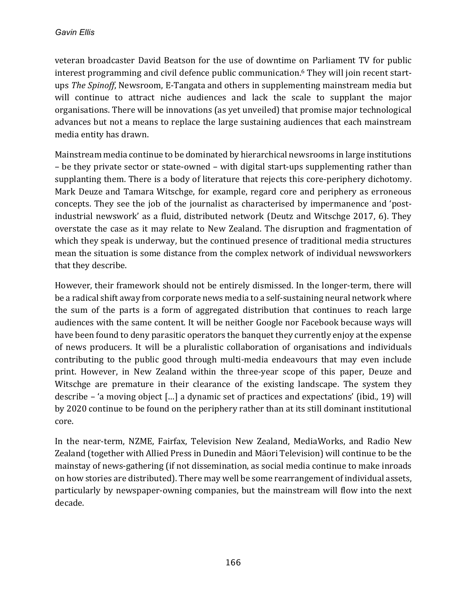veteran broadcaster David Beatson for the use of downtime on Parliament TV for public interest programming and civil defence public communication.<sup>6</sup> They will join recent startups *The Spinoff*, Newsroom, E-Tangata and others in supplementing mainstream media but will continue to attract niche audiences and lack the scale to supplant the major organisations. There will be innovations (as yet unveiled) that promise major technological advances but not a means to replace the large sustaining audiences that each mainstream media entity has drawn.

Mainstream media continue to be dominated by hierarchical newsrooms in large institutions – be they private sector or state-owned – with digital start-ups supplementing rather than supplanting them. There is a body of literature that rejects this core-periphery dichotomy. Mark Deuze and Tamara Witschge, for example, regard core and periphery as erroneous concepts. They see the job of the journalist as characterised by impermanence and 'postindustrial newswork' as a fluid, distributed network (Deutz and Witschge 2017, 6). They overstate the case as it may relate to New Zealand. The disruption and fragmentation of which they speak is underway, but the continued presence of traditional media structures mean the situation is some distance from the complex network of individual newsworkers that they describe.

However, their framework should not be entirely dismissed. In the longer-term, there will be a radical shift away from corporate news media to a self-sustaining neural network where the sum of the parts is a form of aggregated distribution that continues to reach large audiences with the same content. It will be neither Google nor Facebook because ways will have been found to deny parasitic operators the banquet they currently enjoy at the expense of news producers. It will be a pluralistic collaboration of organisations and individuals contributing to the public good through multi-media endeavours that may even include print. However, in New Zealand within the three-year scope of this paper, Deuze and Witschge are premature in their clearance of the existing landscape. The system they describe – 'a moving object [...] a dynamic set of practices and expectations' (ibid., 19) will by 2020 continue to be found on the periphery rather than at its still dominant institutional core. 

In the near-term, NZME, Fairfax, Television New Zealand, MediaWorks, and Radio New Zealand (together with Allied Press in Dunedin and Māori Television) will continue to be the mainstay of news-gathering (if not dissemination, as social media continue to make inroads on how stories are distributed). There may well be some rearrangement of individual assets, particularly by newspaper-owning companies, but the mainstream will flow into the next decade.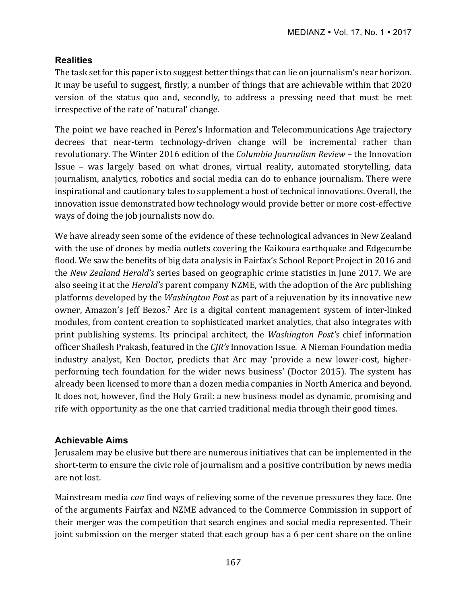# **Realities**

The task set for this paper is to suggest better things that can lie on journalism's near horizon. It may be useful to suggest, firstly, a number of things that are achievable within that 2020 version of the status quo and, secondly, to address a pressing need that must be met irrespective of the rate of 'natural' change.

The point we have reached in Perez's Information and Telecommunications Age trajectory decrees that near-term technology-driven change will be incremental rather than revolutionary. The Winter 2016 edition of the *Columbia Journalism Review* – the Innovation Issue – was largely based on what drones, virtual reality, automated storytelling, data journalism, analytics, robotics and social media can do to enhance journalism. There were inspirational and cautionary tales to supplement a host of technical innovations. Overall, the innovation issue demonstrated how technology would provide better or more cost-effective ways of doing the job journalists now do.

We have already seen some of the evidence of these technological advances in New Zealand with the use of drones by media outlets covering the Kaikoura earthquake and Edgecumbe flood. We saw the benefits of big data analysis in Fairfax's School Report Project in 2016 and the *New Zealand Herald's* series based on geographic crime statistics in June 2017. We are also seeing it at the *Herald's* parent company NZME, with the adoption of the Arc publishing platforms developed by the *Washington Post* as part of a rejuvenation by its innovative new owner, Amazon's Jeff Bezos.<sup>7</sup> Arc is a digital content management system of inter-linked modules, from content creation to sophisticated market analytics, that also integrates with print publishing systems. Its principal architect, the *Washington Post's* chief information officer Shailesh Prakash, featured in the *CJR's* Innovation Issue. A Nieman Foundation media industry analyst, Ken Doctor, predicts that Arc may 'provide a new lower-cost, higherperforming tech foundation for the wider news business' (Doctor 2015). The system has already been licensed to more than a dozen media companies in North America and beyond. It does not, however, find the Holy Grail: a new business model as dynamic, promising and rife with opportunity as the one that carried traditional media through their good times.

# **Achievable Aims**

Jerusalem may be elusive but there are numerous initiatives that can be implemented in the short-term to ensure the civic role of journalism and a positive contribution by news media are not lost.

Mainstream media *can* find ways of relieving some of the revenue pressures they face. One of the arguments Fairfax and NZME advanced to the Commerce Commission in support of their merger was the competition that search engines and social media represented. Their joint submission on the merger stated that each group has a 6 per cent share on the online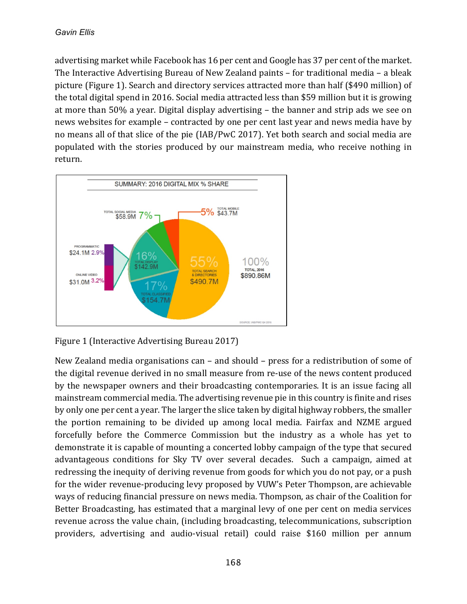advertising market while Facebook has 16 per cent and Google has 37 per cent of the market. The Interactive Advertising Bureau of New Zealand paints  $-$  for traditional media  $-$  a bleak picture (Figure 1). Search and directory services attracted more than half (\$490 million) of the total digital spend in 2016. Social media attracted less than \$59 million but it is growing at more than  $50\%$  a year. Digital display advertising  $-$  the banner and strip ads we see on news websites for example – contracted by one per cent last year and news media have by no means all of that slice of the pie (IAB/PwC 2017). Yet both search and social media are populated with the stories produced by our mainstream media, who receive nothing in return. 



Figure 1 (Interactive Advertising Bureau 2017)

New Zealand media organisations can  $-$  and should  $-$  press for a redistribution of some of the digital revenue derived in no small measure from re-use of the news content produced by the newspaper owners and their broadcasting contemporaries. It is an issue facing all mainstream commercial media. The advertising revenue pie in this country is finite and rises by only one per cent a year. The larger the slice taken by digital highway robbers, the smaller the portion remaining to be divided up among local media. Fairfax and NZME argued forcefully before the Commerce Commission but the industry as a whole has yet to demonstrate it is capable of mounting a concerted lobby campaign of the type that secured advantageous conditions for Sky TV over several decades. Such a campaign, aimed at redressing the inequity of deriving revenue from goods for which you do not pay, or a push for the wider revenue-producing levy proposed by VUW's Peter Thompson, are achievable ways of reducing financial pressure on news media. Thompson, as chair of the Coalition for Better Broadcasting, has estimated that a marginal levy of one per cent on media services revenue across the value chain, (including broadcasting, telecommunications, subscription providers, advertising and audio-visual retail) could raise \$160 million per annum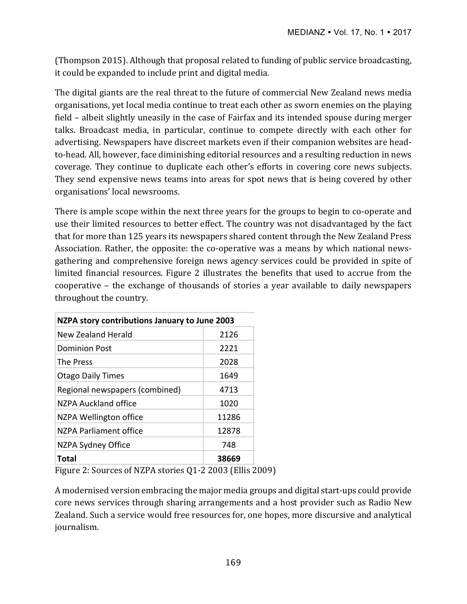(Thompson 2015). Although that proposal related to funding of public service broadcasting, it could be expanded to include print and digital media.

The digital giants are the real threat to the future of commercial New Zealand news media organisations, yet local media continue to treat each other as sworn enemies on the playing field – albeit slightly uneasily in the case of Fairfax and its intended spouse during merger talks. Broadcast media, in particular, continue to compete directly with each other for advertising. Newspapers have discreet markets even if their companion websites are headto-head. All, however, face diminishing editorial resources and a resulting reduction in news coverage. They continue to duplicate each other's efforts in covering core news subjects. They send expensive news teams into areas for spot news that is being covered by other organisations' local newsrooms.

There is ample scope within the next three years for the groups to begin to co-operate and use their limited resources to better effect. The country was not disadvantaged by the fact that for more than 125 years its newspapers shared content through the New Zealand Press Association. Rather, the opposite: the co-operative was a means by which national newsgathering and comprehensive foreign news agency services could be provided in spite of limited financial resources. Figure 2 illustrates the benefits that used to accrue from the cooperative - the exchange of thousands of stories a year available to daily newspapers throughout the country.

| NZPA story contributions January to June 2003 |       |
|-----------------------------------------------|-------|
| New Zealand Herald                            | 2126  |
| <b>Dominion Post</b>                          | 2221  |
| <b>The Press</b>                              | 2028  |
| <b>Otago Daily Times</b>                      | 1649  |
| Regional newspapers (combined)                | 4713  |
| NZPA Auckland office                          | 1020  |
| NZPA Wellington office                        | 11286 |
| N7PA Parliament office                        | 12878 |
| NZPA Sydney Office                            | 748   |
| Total                                         | 38669 |

Figure 2: Sources of NZPA stories Q1-2 2003 (Ellis 2009)

A modernised version embracing the major media groups and digital start-ups could provide core news services through sharing arrangements and a host provider such as Radio New Zealand. Such a service would free resources for, one hopes, more discursive and analytical journalism.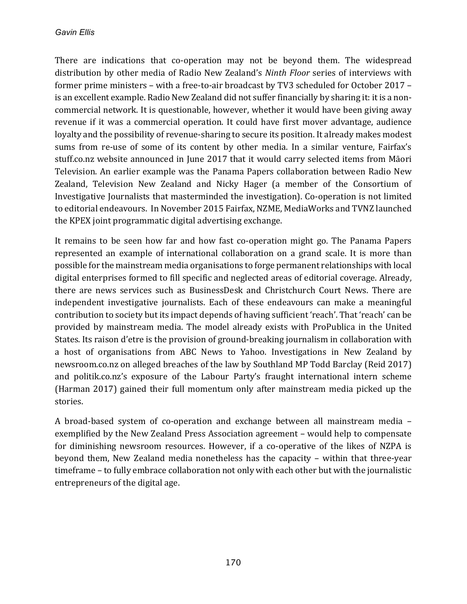There are indications that co-operation may not be beyond them. The widespread distribution by other media of Radio New Zealand's *Ninth Floor* series of interviews with former prime ministers – with a free-to-air broadcast by TV3 scheduled for October 2017 – is an excellent example. Radio New Zealand did not suffer financially by sharing it: it is a noncommercial network. It is questionable, however, whether it would have been giving away revenue if it was a commercial operation. It could have first mover advantage, audience loyalty and the possibility of revenue-sharing to secure its position. It already makes modest sums from re-use of some of its content by other media. In a similar venture, Fairfax's stuff.co.nz website announced in June 2017 that it would carry selected items from Māori Television. An earlier example was the Panama Papers collaboration between Radio New Zealand, Television New Zealand and Nicky Hager (a member of the Consortium of Investigative Journalists that masterminded the investigation). Co-operation is not limited to editorial endeavours. In November 2015 Fairfax, NZME, MediaWorks and TVNZ launched the KPEX joint programmatic digital advertising exchange.

It remains to be seen how far and how fast co-operation might go. The Panama Papers represented an example of international collaboration on a grand scale. It is more than possible for the mainstream media organisations to forge permanent relationships with local digital enterprises formed to fill specific and neglected areas of editorial coverage. Already, there are news services such as BusinessDesk and Christchurch Court News. There are independent investigative journalists. Each of these endeavours can make a meaningful contribution to society but its impact depends of having sufficient 'reach'. That 'reach' can be provided by mainstream media. The model already exists with ProPublica in the United States. Its raison d'etre is the provision of ground-breaking journalism in collaboration with a host of organisations from ABC News to Yahoo. Investigations in New Zealand by newsroom.co.nz on alleged breaches of the law by Southland MP Todd Barclay (Reid 2017) and politik.co.nz's exposure of the Labour Party's fraught international intern scheme (Harman 2017) gained their full momentum only after mainstream media picked up the stories.

A broad-based system of co-operation and exchange between all mainstream media – exemplified by the New Zealand Press Association agreement - would help to compensate for diminishing newsroom resources. However, if a co-operative of the likes of NZPA is beyond them, New Zealand media nonetheless has the capacity - within that three-year timeframe - to fully embrace collaboration not only with each other but with the journalistic entrepreneurs of the digital age.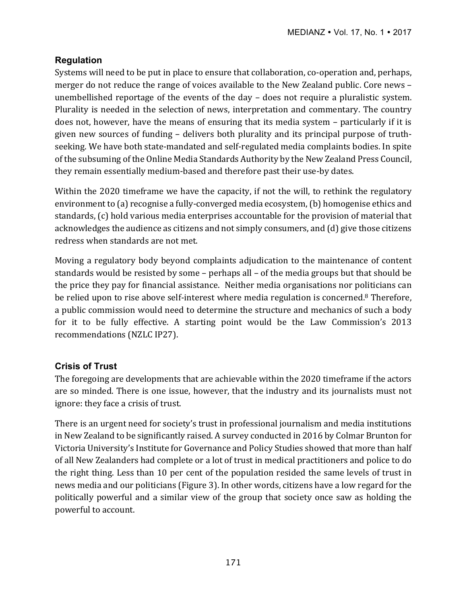# **Regulation**

Systems will need to be put in place to ensure that collaboration, co-operation and, perhaps, merger do not reduce the range of voices available to the New Zealand public. Core news unembellished reportage of the events of the day  $-$  does not require a pluralistic system. Plurality is needed in the selection of news, interpretation and commentary. The country does not, however, have the means of ensuring that its media system - particularly if it is given new sources of funding - delivers both plurality and its principal purpose of truthseeking. We have both state-mandated and self-regulated media complaints bodies. In spite of the subsuming of the Online Media Standards Authority by the New Zealand Press Council, they remain essentially medium-based and therefore past their use-by dates.

Within the 2020 timeframe we have the capacity, if not the will, to rethink the regulatory environment to (a) recognise a fully-converged media ecosystem, (b) homogenise ethics and standards,  $(c)$  hold various media enterprises accountable for the provision of material that acknowledges the audience as citizens and not simply consumers, and (d) give those citizens redress when standards are not met.

Moving a regulatory body beyond complaints adjudication to the maintenance of content standards would be resisted by some  $-$  perhaps all  $-$  of the media groups but that should be the price they pay for financial assistance. Neither media organisations nor politicians can be relied upon to rise above self-interest where media regulation is concerned.<sup>8</sup> Therefore, a public commission would need to determine the structure and mechanics of such a body for it to be fully effective. A starting point would be the Law Commission's 2013 recommendations (NZLC IP27).

# **Crisis of Trust**

The foregoing are developments that are achievable within the 2020 timeframe if the actors are so minded. There is one issue, however, that the industry and its journalists must not ignore: they face a crisis of trust.

There is an urgent need for society's trust in professional journalism and media institutions in New Zealand to be significantly raised. A survey conducted in 2016 by Colmar Brunton for Victoria University's Institute for Governance and Policy Studies showed that more than half of all New Zealanders had complete or a lot of trust in medical practitioners and police to do the right thing. Less than 10 per cent of the population resided the same levels of trust in news media and our politicians (Figure 3). In other words, citizens have a low regard for the politically powerful and a similar view of the group that society once saw as holding the powerful to account.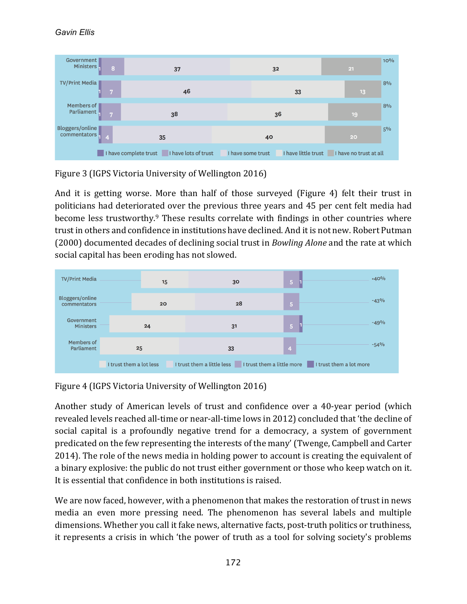### *Gavin Ellis*



Figure 3 (IGPS Victoria University of Wellington 2016)

And it is getting worse. More than half of those surveyed (Figure 4) felt their trust in politicians had deteriorated over the previous three years and 45 per cent felt media had become less trustworthy.<sup>9</sup> These results correlate with findings in other countries where trust in others and confidence in institutions have declined. And it is not new. Robert Putman (2000) documented decades of declining social trust in *Bowling Alone* and the rate at which social capital has been eroding has not slowed.



Figure 4 (IGPS Victoria University of Wellington 2016)

Another study of American levels of trust and confidence over a 40-year period (which revealed levels reached all-time or near-all-time lows in 2012) concluded that 'the decline of social capital is a profoundly negative trend for a democracy, a system of government predicated on the few representing the interests of the many' (Twenge, Campbell and Carter 2014). The role of the news media in holding power to account is creating the equivalent of a binary explosive: the public do not trust either government or those who keep watch on it. It is essential that confidence in both institutions is raised.

We are now faced, however, with a phenomenon that makes the restoration of trust in news media an even more pressing need. The phenomenon has several labels and multiple dimensions. Whether you call it fake news, alternative facts, post-truth politics or truthiness, it represents a crisis in which 'the power of truth as a tool for solving society's problems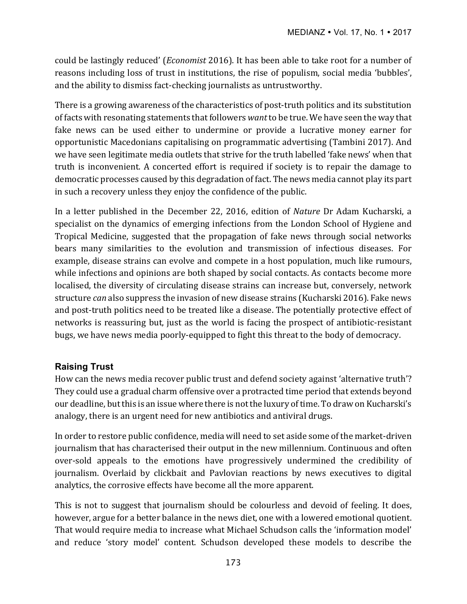could be lastingly reduced' *(Economist* 2016). It has been able to take root for a number of reasons including loss of trust in institutions, the rise of populism, social media 'bubbles', and the ability to dismiss fact-checking journalists as untrustworthy.

There is a growing awareness of the characteristics of post-truth politics and its substitution of facts with resonating statements that followers want to be true. We have seen the way that fake news can be used either to undermine or provide a lucrative money earner for opportunistic Macedonians capitalising on programmatic advertising (Tambini 2017). And we have seen legitimate media outlets that strive for the truth labelled 'fake news' when that truth is inconvenient. A concerted effort is required if society is to repair the damage to democratic processes caused by this degradation of fact. The news media cannot play its part in such a recovery unless they enjoy the confidence of the public.

In a letter published in the December 22, 2016, edition of *Nature* Dr Adam Kucharski, a specialist on the dynamics of emerging infections from the London School of Hygiene and Tropical Medicine, suggested that the propagation of fake news through social networks bears many similarities to the evolution and transmission of infectious diseases. For example, disease strains can evolve and compete in a host population, much like rumours, while infections and opinions are both shaped by social contacts. As contacts become more localised, the diversity of circulating disease strains can increase but, conversely, network structure *can* also suppress the invasion of new disease strains (Kucharski 2016). Fake news and post-truth politics need to be treated like a disease. The potentially protective effect of networks is reassuring but, just as the world is facing the prospect of antibiotic-resistant bugs, we have news media poorly-equipped to fight this threat to the body of democracy.

# **Raising Trust**

How can the news media recover public trust and defend society against 'alternative truth'? They could use a gradual charm offensive over a protracted time period that extends beyond our deadline, but this is an issue where there is not the luxury of time. To draw on Kucharski's analogy, there is an urgent need for new antibiotics and antiviral drugs.

In order to restore public confidence, media will need to set aside some of the market-driven journalism that has characterised their output in the new millennium. Continuous and often over-sold appeals to the emotions have progressively undermined the credibility of journalism. Overlaid by clickbait and Pavlovian reactions by news executives to digital analytics, the corrosive effects have become all the more apparent.

This is not to suggest that journalism should be colourless and devoid of feeling. It does, however, argue for a better balance in the news diet, one with a lowered emotional quotient. That would require media to increase what Michael Schudson calls the 'information model' and reduce 'story model' content. Schudson developed these models to describe the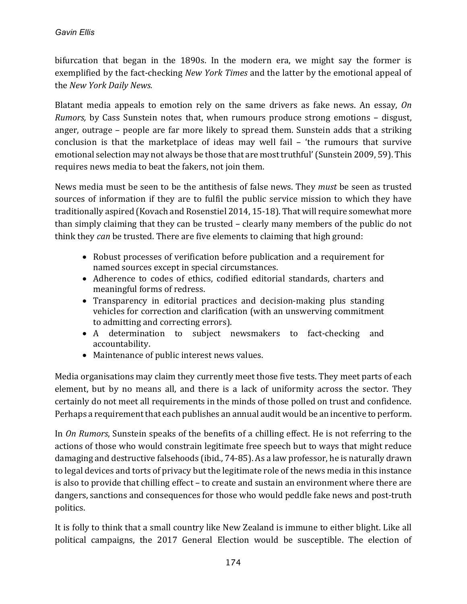bifurcation that began in the 1890s. In the modern era, we might say the former is exemplified by the fact-checking *New York Times* and the latter by the emotional appeal of the *New York Daily News.* 

Blatant media appeals to emotion rely on the same drivers as fake news. An essay, *On Rumors*, by Cass Sunstein notes that, when rumours produce strong emotions - disgust, anger, outrage – people are far more likely to spread them. Sunstein adds that a striking conclusion is that the marketplace of ideas may well fail  $-$  'the rumours that survive emotional selection may not always be those that are most truthful' (Sunstein 2009, 59). This requires news media to beat the fakers, not join them.

News media must be seen to be the antithesis of false news. They *must* be seen as trusted sources of information if they are to fulfil the public service mission to which they have traditionally aspired (Kovach and Rosenstiel 2014, 15-18). That will require somewhat more than simply claiming that they can be trusted  $-$  clearly many members of the public do not think they *can* be trusted. There are five elements to claiming that high ground:

- Robust processes of verification before publication and a requirement for named sources except in special circumstances.
- Adherence to codes of ethics, codified editorial standards, charters and meaningful forms of redress.
- Transparency in editorial practices and decision-making plus standing vehicles for correction and clarification (with an unswerving commitment to admitting and correcting errors).
- A determination to subject newsmakers to fact-checking and accountability.
- Maintenance of public interest news values.

Media organisations may claim they currently meet those five tests. They meet parts of each element, but by no means all, and there is a lack of uniformity across the sector. They certainly do not meet all requirements in the minds of those polled on trust and confidence. Perhaps a requirement that each publishes an annual audit would be an incentive to perform.

In *On Rumors*, Sunstein speaks of the benefits of a chilling effect. He is not referring to the actions of those who would constrain legitimate free speech but to ways that might reduce damaging and destructive falsehoods (ibid., 74-85). As a law professor, he is naturally drawn to legal devices and torts of privacy but the legitimate role of the news media in this instance is also to provide that chilling effect – to create and sustain an environment where there are dangers, sanctions and consequences for those who would peddle fake news and post-truth politics.

It is folly to think that a small country like New Zealand is immune to either blight. Like all political campaigns, the 2017 General Election would be susceptible. The election of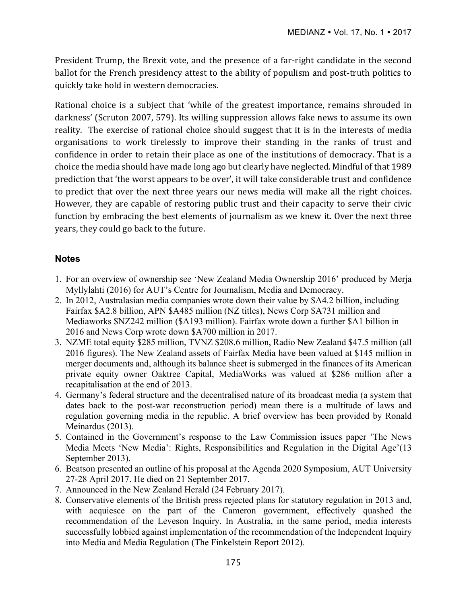President Trump, the Brexit vote, and the presence of a far-right candidate in the second ballot for the French presidency attest to the ability of populism and post-truth politics to quickly take hold in western democracies.

Rational choice is a subject that 'while of the greatest importance, remains shrouded in darkness' (Scruton 2007, 579). Its willing suppression allows fake news to assume its own reality. The exercise of rational choice should suggest that it is in the interests of media organisations to work tirelessly to improve their standing in the ranks of trust and confidence in order to retain their place as one of the institutions of democracy. That is a choice the media should have made long ago but clearly have neglected. Mindful of that 1989 prediction that 'the worst appears to be over', it will take considerable trust and confidence to predict that over the next three years our news media will make all the right choices. However, they are capable of restoring public trust and their capacity to serve their civic function by embracing the best elements of journalism as we knew it. Over the next three years, they could go back to the future.

## **Notes**

- 1. For an overview of ownership see 'New Zealand Media Ownership 2016' produced by Merja Myllylahti (2016) for AUT's Centre for Journalism, Media and Democracy.
- 2. In 2012, Australasian media companies wrote down their value by \$A4.2 billion, including Fairfax \$A2.8 billion, APN \$A485 million (NZ titles), News Corp \$A731 million and Mediaworks \$NZ242 million (\$A193 million). Fairfax wrote down a further \$A1 billion in 2016 and News Corp wrote down \$A700 million in 2017.
- 3. NZME total equity \$285 million, TVNZ \$208.6 million, Radio New Zealand \$47.5 million (all 2016 figures). The New Zealand assets of Fairfax Media have been valued at \$145 million in merger documents and, although its balance sheet is submerged in the finances of its American private equity owner Oaktree Capital, MediaWorks was valued at \$286 million after a recapitalisation at the end of 2013.
- 4. Germany's federal structure and the decentralised nature of its broadcast media (a system that dates back to the post-war reconstruction period) mean there is a multitude of laws and regulation governing media in the republic. A brief overview has been provided by Ronald Meinardus (2013).
- 5. Contained in the Government's response to the Law Commission issues paper 'The News Media Meets 'New Media': Rights, Responsibilities and Regulation in the Digital Age'(13 September 2013).
- 6. Beatson presented an outline of his proposal at the Agenda 2020 Symposium, AUT University 27-28 April 2017. He died on 21 September 2017.
- 7. Announced in the New Zealand Herald (24 February 2017).
- 8. Conservative elements of the British press rejected plans for statutory regulation in 2013 and, with acquiesce on the part of the Cameron government, effectively quashed the recommendation of the Leveson Inquiry. In Australia, in the same period, media interests successfully lobbied against implementation of the recommendation of the Independent Inquiry into Media and Media Regulation (The Finkelstein Report 2012).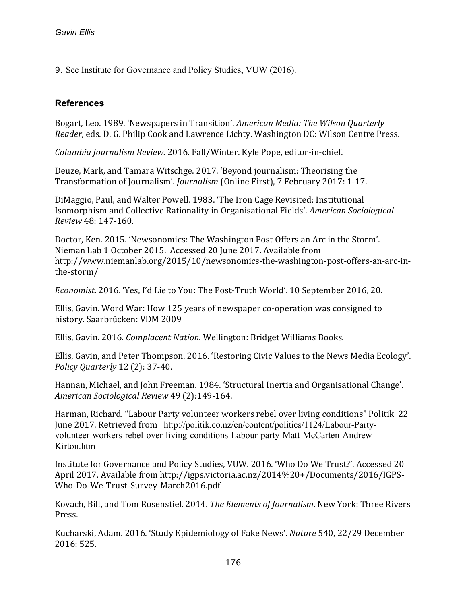1

9. See Institute for Governance and Policy Studies, VUW (2016).

## **References**

Bogart, Leo. 1989. 'Newspapers in Transition'. *American Media: The Wilson Quarterly Reader*, eds. D. G. Philip Cook and Lawrence Lichty. Washington DC: Wilson Centre Press.

*Columbia Journalism Review.* 2016. Fall/Winter. Kyle Pope, editor-in-chief.

Deuze, Mark, and Tamara Witschge. 2017. 'Beyond journalism: Theorising the Transformation of Journalism'. *Journalism* (Online First), 7 February 2017: 1-17.

DiMaggio, Paul, and Walter Powell. 1983. 'The Iron Cage Revisited: Institutional Isomorphism and Collective Rationality in Organisational Fields'. *American Sociological Review* 48: 147-160.

Doctor, Ken. 2015. 'Newsonomics: The Washington Post Offers an Arc in the Storm'. Nieman Lab 1 October 2015. Accessed 20 June 2017. Available from http://www.niemanlab.org/2015/10/newsonomics-the-washington-post-offers-an-arc-inthe-storm/

*Economist.* 2016. 'Yes, I'd Lie to You: The Post-Truth World'. 10 September 2016, 20.

Ellis, Gavin. Word War: How 125 years of newspaper co-operation was consigned to history. Saarbrücken: VDM 2009

Ellis, Gavin. 2016. *Complacent Nation*. Wellington: Bridget Williams Books.

Ellis, Gavin, and Peter Thompson. 2016. 'Restoring Civic Values to the News Media Ecology'. *Policy Quarterly* 12 (2): 37-40.

Hannan, Michael, and John Freeman. 1984. 'Structural Inertia and Organisational Change'. *American Sociological Review* 49 (2):149-164.

Harman, Richard. "Labour Party volunteer workers rebel over living conditions" Politik 22 June 2017. Retrieved from http://politik.co.nz/en/content/politics/1124/Labour-Partyvolunteer-workers-rebel-over-living-conditions-Labour-party-Matt-McCarten-Andrew-Kirton htm

Institute for Governance and Policy Studies, VUW. 2016. 'Who Do We Trust?'. Accessed 20 April 2017. Available from http://igps.victoria.ac.nz/2014%20+/Documents/2016/IGPS-Who-Do-We-Trust-Survey-March2016.pdf

Kovach, Bill, and Tom Rosenstiel. 2014. *The Elements of Journalism*. New York: Three Rivers Press.

Kucharski, Adam. 2016. 'Study Epidemiology of Fake News'. *Nature* 540, 22/29 December 2016: 525.